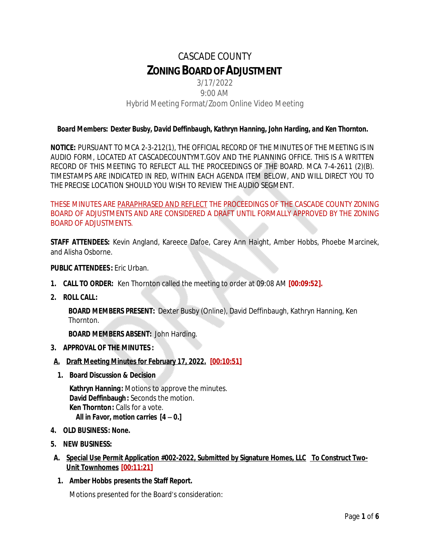# CASCADE COUNTY **ZONINGBOARDOFADJUSTMENT**

## 3/17/2022 9:00 AM Hybrid Meeting Format/Zoom Online Video Meeting

## *Board Members: Dexter Busby, David Deffinbaugh, Kathryn Hanning, John Harding, and Ken Thornton.*

**NOTICE:** PURSUANT TO MCA 2-3-212(1), THE OFFICIAL RECORD OF THE MINUTES OF THE MEETING IS IN AUDIO FORM, LOCATED AT CASCADECOUNTYMT.GOV AND THE PLANNING OFFICE. THIS IS A WRITTEN RECORD OF THIS MEETING TO REFLECT ALL THE PROCEEDINGS OF THE BOARD. MCA 7-4-2611 (2)(B). TIMESTAMPS ARE INDICATED IN RED, WITHIN EACH AGENDA ITEM BELOW, AND WILL DIRECT YOU TO THE PRECISE LOCATION SHOULD YOU WISH TO REVIEW THE AUDIO SEGMENT.

THESE MINUTES ARE PARAPHRASED AND REFLECT THE PROCEEDINGS OF THE CASCADE COUNTY ZONING BOARD OF ADJUSTMENTS AND ARE CONSIDERED A DRAFT UNTIL FORMALLY APPROVED BY THE ZONING BOARD OF ADJUSTMENTS.

**STAFF ATTENDEES:** Kevin Angland, Kareece Dafoe, Carey Ann Haight, Amber Hobbs, Phoebe Marcinek, and Alisha Osborne.

#### **PUBLIC ATTENDEES :** Eric Urban.

- **1. CALL TO ORDER:** Ken Thornton called the meeting to order at 09:08 AM **[00:09:52].**
- **2. ROLL CALL:**

**BOARD MEMBERS PRESENT:** Dexter Busby (Online), David Deffinbaugh, Kathryn Hanning, Ken Thornton.

**BOARD MEMBERS ABSENT:** John Harding.

- **3. APPROVAL OF THE MINUTES :**
- **A. Draft Meeting Minutes for February 17, 2022. [00:10:51]**
	- **1. Board Discussion & Decision**

**Kathryn Hanning:** Motions to approve the minutes. **David Deffinbaugh:** Seconds the motion. **Ken Thornton:** Calls for a vote. *All in Favor, motion carries [4 – 0.]*

- **4. OLD BUSINESS: None.**
- **5. NEW BUSINESS:**
- **A. Special Use Permit Application #002-2022, Submitted by Signature Homes, LLC To Construct Two-Unit Townhomes [00:11:21]**
- **1. Amber Hobbs presents the Staff Report.**

Motions presented for the Board's consideration: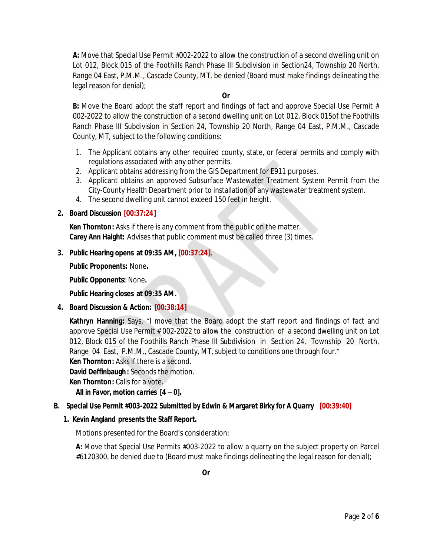**A:** Move that Special Use Permit #002-2022 to allow the construction of a second dwelling unit on Lot 012, Block 015 of the Foothills Ranch Phase III Subdivision in Section24, Township 20 North, Range 04 East, P.M.M., Cascade County, MT, be denied (Board must make findings delineating the legal reason for denial);

### **Or**

**B:** Move the Board adopt the staff report and findings of fact and approve Special Use Permit # 002-2022 to allow the construction of a second dwelling unit on Lot 012, Block 015of the Foothills Ranch Phase III Subdivision in Section 24, Township 20 North, Range 04 East, P.M.M., Cascade County, MT, subject to the following conditions:

- 1. The Applicant obtains any other required county, state, or federal permits and comply with regulations associated with any other permits.
- 2. Applicant obtains addressing from the GIS Department for E911 purposes.
- 3. Applicant obtains an approved Subsurface Wastewater Treatment System Permit from the City-County Health Department prior to installation of any wastewater treatment system.
- 4. The second dwelling unit cannot exceed 150 feet in height.

## **2. Board Discussion [00:37:24]**

**Ken Thornton:** Asks if there is any comment from the public on the matter. **Carey Ann Haight:** Advises that public comment must be called three (3) times.

## **3. Public Hearing opens at 09:35 AM, [00:37:24].**

**Public Proponents:** None**.**

**Public Opponents:** None**.**

**Public Hearing closes at 09:35 AM.**

**4. Board Discussion & Action: [00:38:14]**

**Kathryn Hanning:** Says, "I move that the Board adopt the staff report and findings of fact and approve Special Use Permit # 002-2022 to allow the construction of a second dwelling unit on Lot 012, Block 015 of the Foothills Ranch Phase III Subdivision in Section 24, Township 20 North, Range 04 East, P.M.M., Cascade County, MT, subject to conditions one through four."

**Ken Thornton:** Asks if there is a second.

**David Deffinbaugh:** Seconds the motion.

**Ken Thornton: Calls for a vote.** 

*All in Favor, motion carries [4 – 0].*

## **B. Special Use Permit #003-2022 Submitted by Edwin & Margaret Birky for A Quarry [00:39:40]**

#### **1. Kevin Angland presents the Staff Report.**

Motions presented for the Board's consideration:

**A:** Move that Special Use Permits #003-2022 to allow a quarry on the subject property on Parcel #6120300, be denied due to (Board must make findings delineating the legal reason for denial);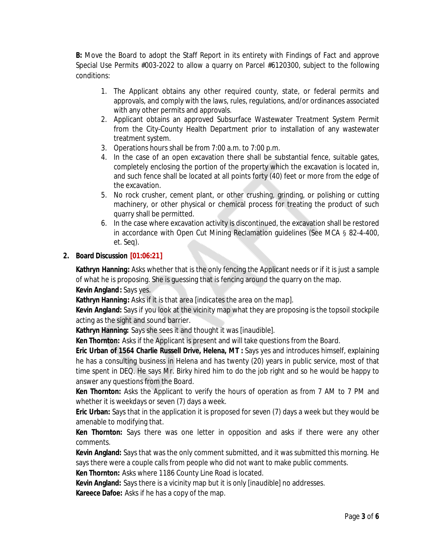**B:** Move the Board to adopt the Staff Report in its entirety with Findings of Fact and approve Special Use Permits #003-2022 to allow a quarry on Parcel #6120300, subject to the following conditions:

- 1. The Applicant obtains any other required county, state, or federal permits and approvals, and comply with the laws, rules, regulations, and/or ordinances associated with any other permits and approvals.
- 2. Applicant obtains an approved Subsurface Wastewater Treatment System Permit from the City-County Health Department prior to installation of any wastewater treatment system.
- 3. Operations hours shall be from 7:00 a.m. to 7:00 p.m.
- 4. In the case of an open excavation there shall be substantial fence, suitable gates, completely enclosing the portion of the property which the excavation is located in, and such fence shall be located at all points forty (40) feet or more from the edge of the excavation.
- 5. No rock crusher, cement plant, or other crushing, grinding, or polishing or cutting machinery, or other physical or chemical process for treating the product of such quarry shall be permitted.
- 6. In the case where excavation activity is discontinued, the excavation shall be restored in accordance with Open Cut Mining Reclamation guidelines (See MCA § 82-4-400, et. Seq).

## **2. Board Discussion [01:06:21]**

**Kathryn Hanning:** Asks whether that is the only fencing the Applicant needs or if it is just a sample of what he is proposing. She is guessing that is fencing around the quarry on the map.

**Kevin Angland:** Says yes.

**Kathryn Hanning:** Asks if it is that area *[indicates the area on the map].*

**Kevin Angland:** Says if you look at the vicinity map what they are proposing is the topsoil stockpile acting as the sight and sound barrier.

**Kathryn Hanning:** Says she sees it and thought it was *[inaudible].*

**Ken Thornton:** Asks if the Applicant is present and will take questions from the Board.

**Eric Urban of 1564 Charlie Russell Drive, Helena, MT :** Says yes and introduces himself, explaining he has a consulting business in Helena and has twenty (20) years in public service, most of that time spent in DEQ. He says Mr. Birky hired him to do the job right and so he would be happy to answer any questions from the Board.

**Ken Thornton:** Asks the Applicant to verify the hours of operation as from 7 AM to 7 PM and whether it is weekdays or seven (7) days a week.

**Eric Urban:** Says that in the application it is proposed for seven (7) days a week but they would be amenable to modifying that.

**Ken Thornton:** Says there was one letter in opposition and asks if there were any other comments.

**Kevin Angland:** Says that was the only comment submitted, and it was submitted this morning. He says there were a couple calls from people who did not want to make public comments.

**Ken Thornton:** Asks where 1186 County Line Road is located.

**Kevin Angland:** Says there is a vicinity map but it is only [*inaudible]* no addresses.

**Kareece Dafoe:** Asks if he has a copy of the map.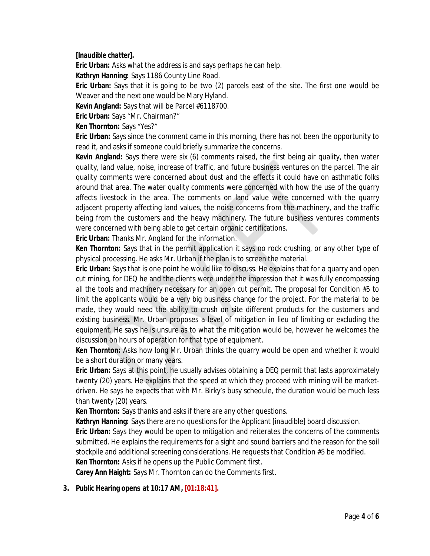## *[Inaudible chatter].*

**Eric Urban:** Asks what the address is and says perhaps he can help.

**Kathryn Hanning:** Says 1186 County Line Road.

**Eric Urban:** Says that it is going to be two (2) parcels east of the site. The first one would be Weaver and the next one would be Mary Hyland.

**Kevin Angland:** Says that will be Parcel #6118700.

**Eric Urban:** Says "Mr. Chairman?"

**Ken Thornton:** Says "Yes?"

**Eric Urban:** Says since the comment came in this morning, there has not been the opportunity to read it, and asks if someone could briefly summarize the concerns.

**Kevin Angland:** Says there were six (6) comments raised, the first being air quality, then water quality, land value, noise, increase of traffic, and future business ventures on the parcel. The air quality comments were concerned about dust and the effects it could have on asthmatic folks around that area. The water quality comments were concerned with how the use of the quarry affects livestock in the area. The comments on land value were concerned with the quarry adjacent property affecting land values, the noise concerns from the machinery, and the traffic being from the customers and the heavy machinery. The future business ventures comments were concerned with being able to get certain organic certifications.

**Eric Urban:** Thanks Mr. Angland for the information.

**Ken Thornton:** Says that in the permit application it says no rock crushing, or any other type of physical processing. He asks Mr. Urban if the plan is to screen the material.

**Eric Urban:** Says that is one point he would like to discuss. He explains that for a quarry and open cut mining, for DEQ he and the clients were under the impression that it was fully encompassing all the tools and machinery necessary for an open cut permit. The proposal for Condition #5 to limit the applicants would be a very big business change for the project. For the material to be made, they would need the ability to crush on site different products for the customers and existing business. Mr. Urban proposes a level of mitigation in lieu of limiting or excluding the equipment. He says he is unsure as to what the mitigation would be, however he welcomes the discussion on hours of operation for that type of equipment.

**Ken Thornton:** Asks how long Mr. Urban thinks the quarry would be open and whether it would be a short duration or many years.

**Eric Urban:** Says at this point, he usually advises obtaining a DEQ permit that lasts approximately twenty (20) years. He explains that the speed at which they proceed with mining will be marketdriven. He says he expects that with Mr. Birky's busy schedule, the duration would be much less than twenty (20) years.

**Ken Thornton:** Says thanks and asks if there are any other questions.

**Kathryn Hanning:** Says there are no questions for the Applicant *[inaudible]* board discussion.

**Eric Urban:** Says they would be open to mitigation and reiterates the concerns of the comments submitted. He explains the requirements for a sight and sound barriers and the reason for the soil stockpile and additional screening considerations. He requests that Condition #5 be modified.

**Ken Thornton:** Asks if he opens up the Public Comment first.

**Carey Ann Haight:** Says Mr. Thornton can do the Comments first.

## **3. Public Hearing opens at 10:17 AM, [01:18:41].**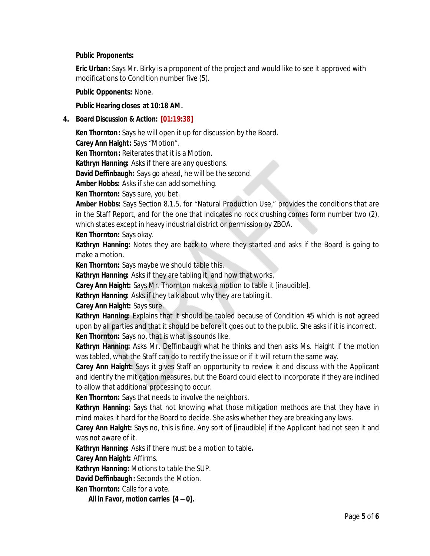#### **Public Proponents:**

**Eric Urban:** Says Mr. Birky is a proponent of the project and would like to see it approved with modifications to Condition number five (5).

#### **Public Opponents:** None.

#### **Public Hearing closes at 10:18 AM.**

#### **4. Board Discussion & Action: [01:19:38]**

**Ken Thornton:** Says he will open it up for discussion by the Board.

**Carey Ann Haight:** Says "Motion".

**Ken Thornton:** Reiterates that it is a Motion.

**Kathryn Hanning:** Asks if there are any questions.

**David Deffinbaugh:** Says go ahead, he will be the second.

**Amber Hobbs:** Asks if she can add something.

**Ken Thornton:** Says sure, you bet.

**Amber Hobbs:** Says Section 8.1.5, for "Natural Production Use," provides the conditions that are in the Staff Report, and for the one that indicates no rock crushing comes form number two (2), which states except in heavy industrial district or permission by ZBOA.

**Ken Thornton:** Says okay.

**Kathryn Hanning:** Notes they are back to where they started and asks if the Board is going to make a motion.

**Ken Thornton:** Says maybe we should table this.

**Kathryn Hanning:** Asks if they are tabling it, and how that works.

**Carey Ann Haight:** Says Mr. Thornton makes a motion to table it *[inaudible].*

**Kathryn Hanning:** Asks if they talk about why they are tabling it.

**Carey Ann Haight:** Says sure.

**Kathryn Hanning:** Explains that it should be tabled because of Condition #5 which is not agreed upon by all parties and that it should be before it goes out to the public. She asks if it is incorrect. **Ken Thornton:** Says no, that is what is sounds like.

**Kathryn Hanning:** Asks Mr. Deffinbaugh what he thinks and then asks Ms. Haight if the motion was tabled, what the Staff can do to rectify the issue or if it will return the same way.

**Carey Ann Haight:** Says it gives Staff an opportunity to review it and discuss with the Applicant and identify the mitigation measures, but the Board could elect to incorporate if they are inclined to allow that additional processing to occur.

**Ken Thornton:** Says that needs to involve the neighbors.

**Kathryn Hanning:** Says that not knowing what those mitigation methods are that they have in mind makes it hard for the Board to decide. She asks whether they are breaking any laws.

**Carey Ann Haight:** Says no, this is fine. Any sort of *[inaudible]* if the Applicant had not seen it and was not aware of it.

**Kathryn Hanning:** Asks if there must be a motion to table**.**

**Carey Ann Haight:** Affirms.

**Kathryn Hanning:** Motions to table the SUP.

**David Deffinbaugh:** Seconds the Motion.

**Ken Thornton:** Calls for a vote.

*All in Favor, motion carries [4 – 0].*